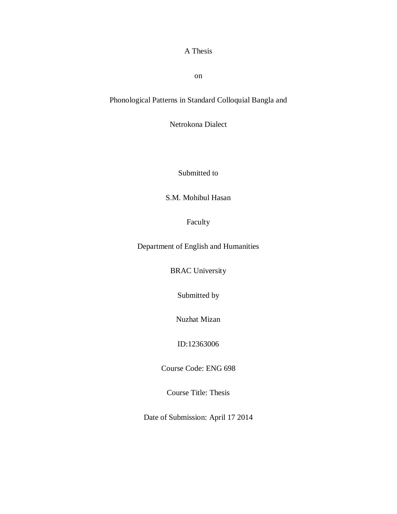## A Thesis

on

# Phonological Patterns in Standard Colloquial Bangla and

Netrokona Dialect

Submitted to

S.M. Mohibul Hasan

Faculty

Department of English and Humanities

BRAC University

Submitted by

Nuzhat Mizan

ID:12363006

Course Code: ENG 698

Course Title: Thesis

Date of Submission: April 17 2014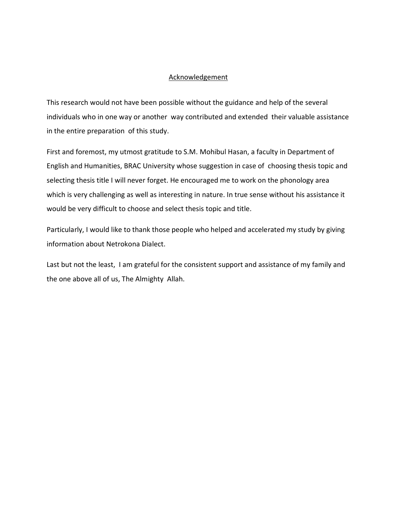## Acknowledgement

This research would not have been possible without the guidance and help of the several individuals who in one way or another way contributed and extended their valuable assistance in the entire preparation of this study.

First and foremost, my utmost gratitude to S.M. Mohibul Hasan, a faculty in Department of English and Humanities, BRAC University whose suggestion in case of choosing thesis topic and selecting thesis title I will never forget. He encouraged me to work on the phonology area which is very challenging as well as interesting in nature. In true sense without his assistance it would be very difficult to choose and select thesis topic and title.

Particularly, I would like to thank those people who helped and accelerated my study by giving information about Netrokona Dialect.

Last but not the least, I am grateful for the consistent support and assistance of my family and the one above all of us, The Almighty Allah.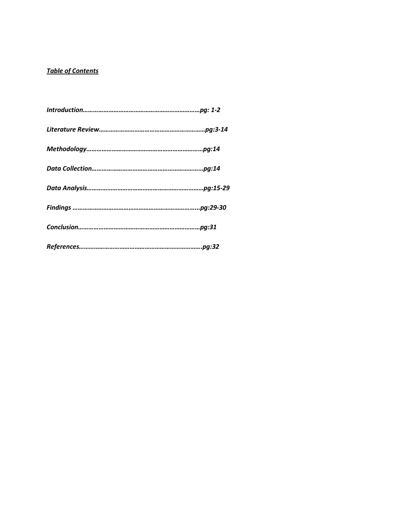## *Table of Contents*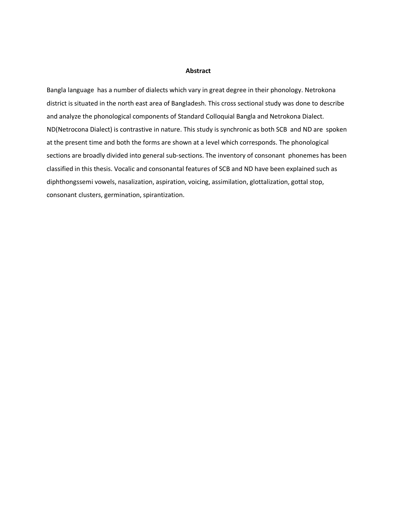#### **Abstract**

Bangla language has a number of dialects which vary in great degree in their phonology. Netrokona district is situated in the north east area of Bangladesh. This cross sectional study was done to describe and analyze the phonological components of Standard Colloquial Bangla and Netrokona Dialect. ND(Netrocona Dialect) is contrastive in nature. This study is synchronic as both SCB and ND are spoken at the present time and both the forms are shown at a level which corresponds. The phonological sections are broadly divided into general sub-sections. The inventory of consonant phonemes has been classified in this thesis. Vocalic and consonantal features of SCB and ND have been explained such as diphthongssemi vowels, nasalization, aspiration, voicing, assimilation, glottalization, gottal stop, consonant clusters, germination, spirantization.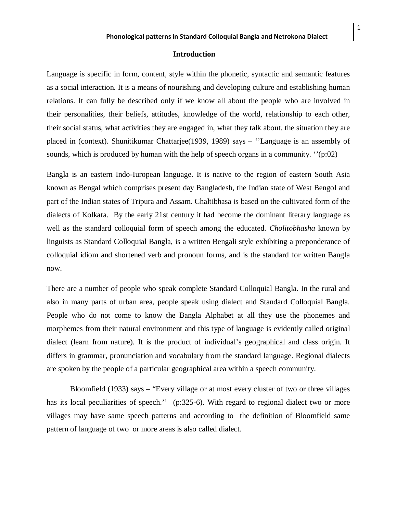#### **Introduction**

Language is specific in form, content, style within the phonetic, syntactic and semantic features as a social interaction. It is a means of nourishing and developing culture and establishing human relations. It can fully be described only if we know all about the people who are involved in their personalities, their beliefs, attitudes, knowledge of the world, relationship to each other, their social status, what activities they are engaged in, what they talk about, the situation they are placed in (context). Shunitikumar Chattarjee(1939, 1989) says – ''Language is an assembly of sounds, which is produced by human with the help of speech organs in a community. "(p:02)

Bangla is an eastern Indo-Iuropean language. It is native to the region of eastern South Asia known as Bengal which comprises present day Bangladesh, the Indian state of West Bengol and part of the Indian states of Tripura and Assam. Chaltibhasa is based on the cultivated form of the dialects of [Kolkata.](http://www.britannica.com/EBchecked/topic/89203/Kolkata) By the early 21st century it had become the dominant literary language as well as the standard colloquial form of speech among the educated. *Cholitobhasha* known by linguists as Standard Colloquial Bangla, is a written Bengali style exhibiting a preponderance of colloquial idiom and shortened verb and pronoun forms, and is the standard for written Bangla now.

There are a number of people who speak complete Standard Colloquial Bangla. In the rural and also in many parts of urban area, people speak using dialect and Standard Colloquial Bangla. People who do not come to know the Bangla Alphabet at all they use the phonemes and morphemes from their natural environment and this type of language is evidently called original dialect (learn from nature). It is the product of individual's geographical and class origin. It differs in grammar, pronunciation and vocabulary from the standard language. Regional dialects are spoken by the people of a particular geographical area within a speech community.

Bloomfield (1933) says – "Every village or at most every cluster of two or three villages has its local peculiarities of speech.'' (p:325-6). With regard to regional dialect two or more villages may have same speech patterns and according to the definition of Bloomfield same pattern of language of two or more areas is also called dialect.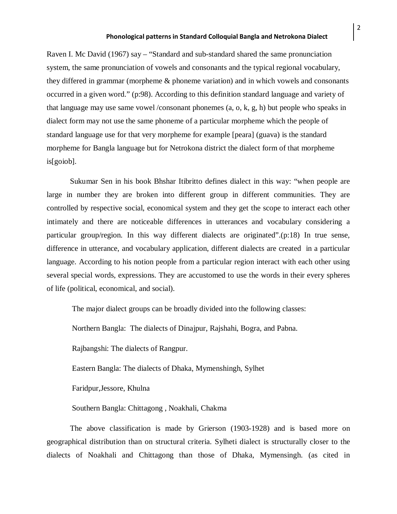Raven I. Mc David (1967) say – "Standard and sub-standard shared the same pronunciation system, the same pronunciation of vowels and consonants and the typical regional vocabulary, they differed in grammar (morpheme & phoneme variation) and in which vowels and consonants occurred in a given word." (p:98). According to this definition standard language and variety of that language may use same vowel /consonant phonemes  $(a, o, k, g, h)$  but people who speaks in dialect form may not use the same phoneme of a particular morpheme which the people of standard language use for that very morpheme for example [peara] (guava) is the standard morpheme for Bangla language but for Netrokona district the dialect form of that morpheme is[goiob].

Sukumar Sen in his book Bhshar Itibritto defines dialect in this way: "when people are large in number they are broken into different group in different communities. They are controlled by respective social, economical system and they get the scope to interact each other intimately and there are noticeable differences in utterances and vocabulary considering a particular group/region. In this way different dialects are originated".(p:18) In true sense, difference in utterance, and vocabulary application, different dialects are created in a particular language. According to his notion people from a particular region interact with each other using several special words, expressions. They are accustomed to use the words in their every spheres of life (political, economical, and social).

The major dialect groups can be broadly divided into the following classes:

Northern Bangla: The dialects of Dinajpur, Rajshahi, Bogra, and Pabna.

Rajbangshi: The dialects of Rangpur.

Eastern Bangla: The dialects of Dhaka, Mymenshingh, Sylhet

Faridpur,Jessore, Khulna

Southern Bangla: Chittagong , Noakhali, Chakma

The above classification is made by Grierson (1903-1928) and is based more on geographical distribution than on structural criteria. Sylheti dialect is structurally closer to the dialects of Noakhali and Chittagong than those of Dhaka, Mymensingh. (as cited in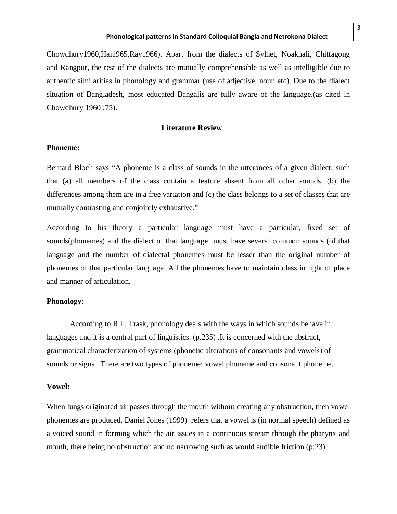Chowdhury1960,Hai1965,Ray1966). Apart from the dialects of Sylhet, Noakhali, Chittagong and Rangpur, the rest of the dialects are mutually comprehensible as well as intelligible due to authentic similarities in phonology and grammar (use of adjective, noun etc). Due to the dialect situation of Bangladesh, most educated Bangalis are fully aware of the language.(as cited in Chowdhury 1960 :75).

#### **Literature Review**

#### **Phoneme:**

Bernard Bloch says "A phoneme is a class of sounds in the utterances of a given dialect, such that (a) all members of the class contain a feature absent from all other sounds, (b) the differences among them are in a free variation and (c) the class belongs to a set of classes that are mutually contrasting and conjointly exhaustive."

According to his theory a particular language must have a particular, fixed set of sounds(phonemes) and the dialect of that language must have several common sounds (of that language and the number of dialectal phonemes must be lesser than the original number of phonemes of that particular language. All the phonemes have to maintain class in light of place and manner of articulation.

## **Phonology**:

According to R.L. Trask, phonology deals with the ways in which sounds behave in languages and it is a central part of linguistics. (p.235) .It is concerned with the abstract, grammatical characterization of systems (phonetic alterations of consonants and vowels) of sounds or signs. There are two types of phoneme: vowel phoneme and consonant phoneme.

## **Vowel:**

When lungs originated air passes through the mouth without creating any obstruction, then vowel phonemes are produced. Daniel Jones (1999) refers that a vowel is (in normal speech) defined as a voiced sound in forming which the air issues in a continuous stream through the pharynx and mouth, there being no obstruction and no narrowing such as would audible friction.(p:23)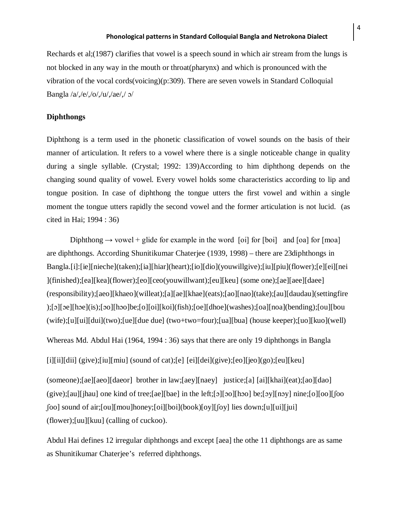Rechards et al;(1987) clarifies that vowel is a speech sound in which air stream from the lungs is not blocked in any way in the mouth or throat(pharynx) and which is pronounced with the vibration of the vocal cords(voicing)(p:309). There are seven vowels in Standard Colloquial Bangla /a/,/e/,/o/,/u/,/ae/,/ ɔ/

#### **Diphthongs**

Diphthong is a term used in the phonetic classification of vowel sounds on the basis of their manner of articulation. It refers to a vowel where there is a single noticeable change in quality during a single syllable. (Crystal; 1992: 139)According to him diphthong depends on the changing sound quality of vowel. Every vowel holds some characteristics according to lip and tongue position. In case of diphthong the tongue utters the first vowel and within a single moment the tongue utters rapidly the second vowel and the former articulation is not lucid. (as cited in Hai; 1994 : 36)

Diphthong  $\rightarrow$  vowel + glide for example in the word [oi] for [boi] and [oa] for [moa] are diphthongs. According Shunitikumar Chaterjee (1939, 1998) – there are 23diphthongs in Bangla.[i]:[ie][nieche](taken);[ia][hiar](heart);[io][dio](youwillgive);[iu][piu](flower);[e][ei][nei ](finished);[ea][kea](flower);[eo][ceo(youwillwant);[eu][keu] (some one);[ae][aee][daee] (responsibility);[aeo][khaeo](willeat);[a][ae][khae](eats);[ao][nao](take);[au][daudau](settingfire );[ɔ][ɔe][hɔe](is);[ɔo][hɔo]be;[o][oi][koi](fish);[oe][dhoe](washes);[oa][noa](bending);[ou][bou (wife);[u][ui][dui](two);[ue][due due] (two+two=four);[ua][bua] (house keeper);[uo][kuo](well)

Whereas Md. Abdul Hai (1964, 1994 : 36) says that there are only 19 diphthongs in Bangla

[i][ii][dii] (give);[iu][miu] (sound of cat);[e] [ei][dei](give);[eo][jeo](go);[eu][keu]

(someone);[ae][aeo][daeor] brother in law;[aey][naey] justice;[a] [ai][khai](eat);[ao][dao]  $(give)$ ;[au][jhau] one kind of tree;[ae][bae] in the left;[o][oo][hoo] be;[oy][noy] nine;[o][oo][[oo ʃoo] sound of air;[ou][mou]honey;[oi][boi](book)[oy][ʃoy] lies down;[u][ui][jui] (flower);[uu][kuu] (calling of cuckoo).

Abdul Hai defines 12 irregular diphthongs and except [aea] the othe 11 diphthongs are as same as Shunitikumar Chaterjee's referred diphthongs.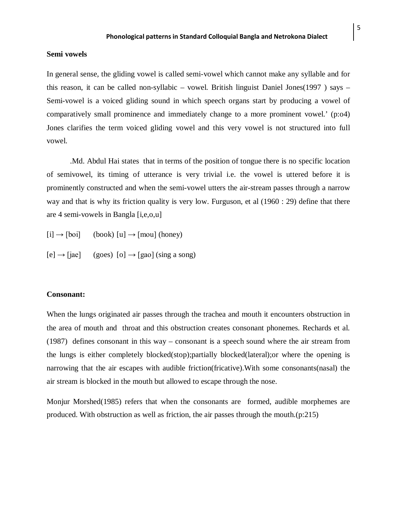## **Semi vowels**

In general sense, the gliding vowel is called semi-vowel which cannot make any syllable and for this reason, it can be called non-syllabic – vowel. British linguist Daniel Jones(1997 ) says – Semi-vowel is a voiced gliding sound in which speech organs start by producing a vowel of comparatively small prominence and immediately change to a more prominent vowel.' (p:o4) Jones clarifies the term voiced gliding vowel and this very vowel is not structured into full vowel.

.Md. Abdul Hai states that in terms of the position of tongue there is no specific location of semivowel, its timing of utterance is very trivial i.e. the vowel is uttered before it is prominently constructed and when the semi-vowel utters the air-stream passes through a narrow way and that is why its friction quality is very low. Furguson, et al (1960 : 29) define that there are 4 semi-vowels in Bangla [i,e,o,u]

 $[i] \rightarrow [boi]$  (book)  $[u] \rightarrow [mou]$  (honey)

 $[e] \rightarrow [iae]$  (goes)  $[o] \rightarrow [gao]$  (sing a song)

## **Consonant:**

When the lungs originated air passes through the trachea and mouth it encounters obstruction in the area of mouth and throat and this obstruction creates consonant phonemes. Rechards et al. (1987) defines consonant in this way – consonant is a speech sound where the air stream from the lungs is either completely blocked(stop);partially blocked(lateral);or where the opening is narrowing that the air escapes with audible friction(fricative).With some consonants(nasal) the air stream is blocked in the mouth but allowed to escape through the nose.

Monjur Morshed(1985) refers that when the consonants are formed, audible morphemes are produced. With obstruction as well as friction, the air passes through the mouth.(p:215)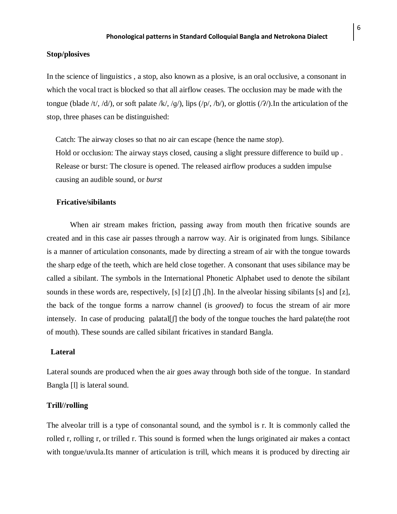## **Stop/plosives**

In the science of linguistics , a stop, also known as a plosive, is an oral [occlusive,](http://en.wikipedia.org/wiki/Occlusive) a [consonant](http://en.wikipedia.org/wiki/Consonant) in which the vocal tract is blocked so that all [airflow](http://en.wikipedia.org/wiki/Airstream_mechanism) ceases. The occlusion may be made with the tongue (blade [/t/](http://en.wikipedia.org/wiki/Voiceless_alveolar_stop), [/d/](http://en.wikipedia.org/wiki/Voiced_alveolar_stop)), or soft palate [/k/](http://en.wikipedia.org/wiki/Voiceless_velar_stop), /g/), lips  $(\frac{p}{p}, \frac{b}{p})$ , or glottis  $(\frac{p}{p})$ . In the articulation of the stop, three phases can be distinguished:

Catch: The airway closes so that no air can escape (hence the name *stop*). Hold or occlusion: The airway stays closed, causing a slight pressure difference to build up . Release or burst: The closure is opened. The released airflow produces a sudden impulse causing an audible sound, or *burst*

### **Fricative/sibilants**

When air stream makes friction, passing away from mouth then fricative sounds are created and in this case air passes through a narrow way. Air is originated from lungs. Sibilance is a [manner of articulation](http://en.wikipedia.org/wiki/Manner_of_articulation) [consonants,](http://en.wikipedia.org/wiki/Consonant) made by directing a stream of air with the tongue towards the sharp edge of the [teeth,](http://en.wikipedia.org/wiki/Teeth) which are held close together. A consonant that uses sibilance may be called a sibilant. The symbols in the [International Phonetic Alphabet](http://en.wikipedia.org/wiki/International_Phonetic_Alphabet) used to denote the sibilant sounds in these words are, respectively, [s] [z] [ʃ] ,[h]. In the [alveolar](http://en.wikipedia.org/wiki/Alveolar_consonant) hissing sibilants [s] and [z], the back of the tongue forms a narrow channel (is *[grooved](http://en.wikipedia.org/wiki/Sulcalization)*) to focus the stream of air more intensely. In case of producing palatal  $[\cdot]$  the body of the tongue touches the hard palate(the root of mouth). These sounds are called sibilant fricatives in standard Bangla.

## **Lateral**

Lateral sounds are produced when the air goes away through both side of the tongue. In standard Bangla [l] is lateral sound.

## **Trill//rolling**

The alveolar trill is a type of [consonantal](http://en.wikipedia.org/wiki/Consonant) sound, and the symbol is r. It is commonly called the rolled r, rolling r, or trilled r. This sound is formed when the lungs originated air makes a contact with tongue/uvula.Its [manner of articulation](http://en.wikipedia.org/wiki/Manner_of_articulation) is [trill,](http://en.wikipedia.org/wiki/Trill_consonant) which means it is produced by directing air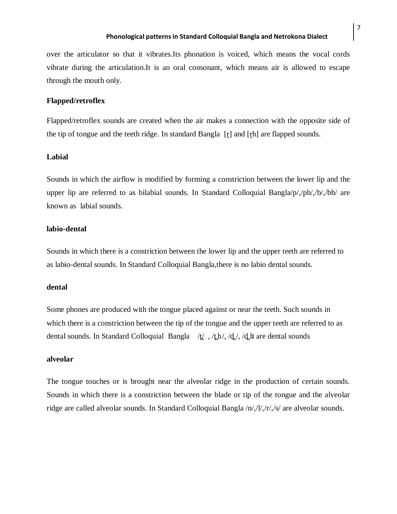over the articulator so that it vibrates.Its [phonation](http://en.wikipedia.org/wiki/Phonation) is voiced, which means the vocal cords vibrate during the articulation.It is an [oral consonant,](http://en.wikipedia.org/wiki/Oral_consonant) which means air is allowed to escape through the mouth only.

## **Flapped/retroflex**

Flapped/retroflex sounds are created when the air makes a connection with the opposite side of the tip of tongue and the teeth ridge. In standard Bangla [ɽ] and [ɽh] are flapped sounds.

## **Labial**

Sounds in which the airflow is modified by forming a constriction between the lower lip and the upper lip are referred to as bilabial sounds. In Standard Colloquial Bangla/p/,/ph/,/b/,/bh/ are known as labial sounds.

#### **labio-dental**

Sounds in which there is a constriction between the lower lip and the upper teeth are referred to as labio-dental sounds. In Standard Colloquial Bangla,there is no labio dental sounds.

#### **dental**

Some phones are produced with the tongue placed against or near the teeth. Such sounds in which there is a constriction between the tip of the tongue and the upper teeth are referred to as dental sounds. In Standard Colloquial Bangla /t. , /th/, /d. /, /d. h are dental sounds

## **alveolar**

The tongue touches or is brought near the alveolar ridge in the production of certain sounds. Sounds in which there is a constriction between the blade or tip of the tongue and the alveolar ridge are called alveolar sounds. In Standard Colloquial Bangla /n/,/l/,/r/,/s/ are alveolar sounds.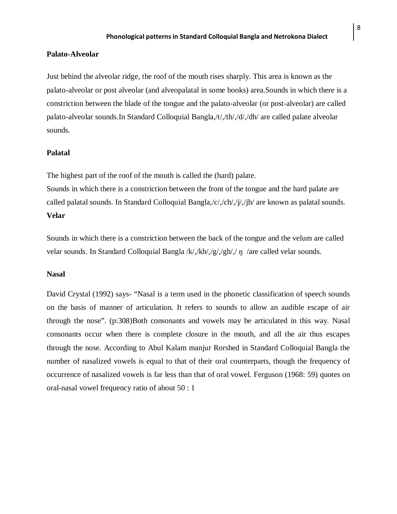## **Palato-Alveolar**

Just behind the alveolar ridge, the roof of the mouth rises sharply. This area is known as the palato-alveolar or post alveolar (and alveopalatal in some books) area.Sounds in which there is a constriction between the blade of the tongue and the palato-alveolar (or post-alveolar) are called palato-alveolar sounds.In Standard Colloquial Bangla,/t/,/th/,/d/,/dh/ are called palate alveolar sounds.

## **Palatal**

The highest part of the roof of the mouth is called the (hard) palate.

Sounds in which there is a constriction between the front of the tongue and the hard palate are called palatal sounds. In Standard Colloquial Bangla,/c/,/ch/,/j/,/jh/ are known as palatal sounds. **Velar**

Sounds in which there is a constriction between the back of the tongue and the velum are called velar sounds. In Standard Colloquial Bangla /k/,/kh/,/g/,/gh/,/ ŋ /are called velar sounds.

#### **Nasal**

David Crystal (1992) says- "Nasal is a term used in the phonetic classification of speech sounds on the basis of manner of articulation. It refers to sounds to allow an audible escape of air through the nose". (p:308)Both consonants and vowels may be articulated in this way. Nasal consonants occur when there is complete closure in the mouth, and all the air thus escapes through the nose. According to Abul Kalam manjur Rorshed in Standard Colloquial Bangla the number of nasalized vowels is equal to that of their oral counterparts, though the frequency of occurrence of nasalized vowels is far less than that of oral vowel. Ferguson (1968: 59) quotes on oral-nasal vowel frequency ratio of about 50 : 1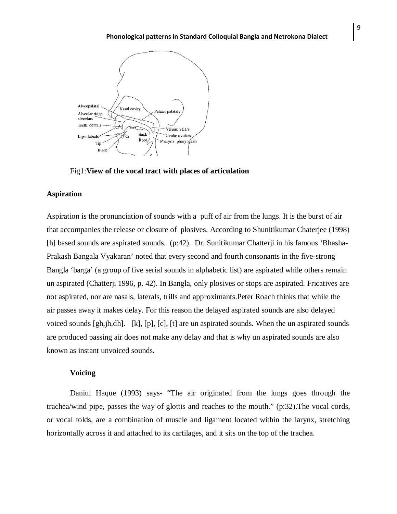

Fig1:**View of the vocal tract with places of articulation**

## **Aspiration**

Aspiration is the pronunciation of sounds with a puff of air from the lungs. It is the burst of air that accompanies the release or closure of plosives. According to Shunitikumar Chaterjee (1998) [h] based sounds are aspirated sounds. (p:42). Dr. Sunitikumar Chatterji in his famous 'Bhasha-Prakash Bangala Vyakaran' noted that every second and fourth consonants in the five-strong Bangla 'barga' (a group of five serial sounds in alphabetic list) are aspirated while others remain un aspirated (Chatterji 1996, p. 42). In Bangla, only plosives or stops are aspirated. Fricatives are not aspirated, nor are nasals, laterals, trills and approximants.Peter Roach thinks that while the air passes away it makes delay. For this reason the delayed aspirated sounds are also delayed voiced sounds [gh,jh,dh]. [k], [p], [c], [t] are un aspirated sounds. When the un aspirated sounds are produced passing air does not make any delay and that is why un aspirated sounds are also known as instant unvoiced sounds.

## **Voicing**

Daniul Haque (1993) says- "The air originated from the lungs goes through the trachea/wind pipe, passes the way of glottis and reaches to the mouth." (p:32).The vocal cords, or vocal folds, are a combination of muscle and ligament located within the larynx, stretching horizontally across it and attached to its cartilages, and it sits on the top of the trachea.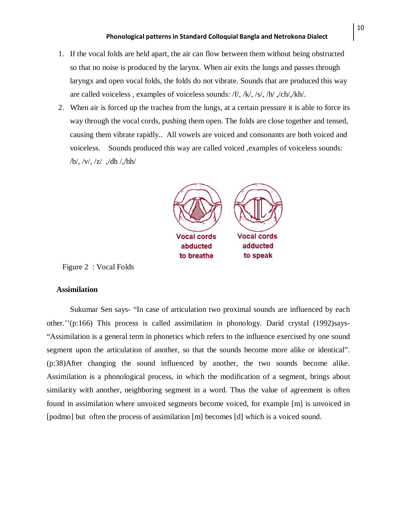- 1. If the vocal folds are held apart, the air can flow between them without being obstructed so that no noise is produced by the larynx. When air exits the lungs and passes through laryngx and open vocal folds, the folds do not vibrate. Sounds that are produced this way are called voiceless , examples of voiceless sounds: [/f/](http://emedia.leeward.hawaii.edu/hurley/Ling102web/sound_files/phonetic_sounds/f.mp3), [/k/](http://emedia.leeward.hawaii.edu/hurley/Ling102web/sound_files/phonetic_sounds/k.mp3), [/s/](http://emedia.leeward.hawaii.edu/hurley/Ling102web/sound_files/phonetic_sounds/s.mp3), [/h/](http://emedia.leeward.hawaii.edu/hurley/Ling102web/sound_files/phonetic_sounds/h.mp3) ,/ch/,/kh/.
- 2. When air is forced up the trachea from the lungs, at a certain pressure it is able to force its way through the vocal cords, pushing them open. The folds are close together and tensed, causing them vibrate rapidly.. All vowels are voiced and consonants are both voiced and voiceless. Sounds produced this way are called voiced ,examples of voiceless sounds: [/b/](http://emedia.leeward.hawaii.edu/hurley/Ling102web/sound_files/phonetic_sounds/b.mp3), [/v/](http://emedia.leeward.hawaii.edu/hurley/Ling102web/sound_files/phonetic_sounds/v.mp3), [/z/](http://emedia.leeward.hawaii.edu/hurley/Ling102web/sound_files/phonetic_sounds/z.mp3) ,/dh /,/bh/



Figure 2 : Vocal Folds

## **Assimilation**

Sukumar Sen says- "In case of articulation two proximal sounds are influenced by each other.''(p:166) This process is called assimilation in phonology. Darid crystal (1992)says- "Assimilation is a general term in phonetics which refers to the influence exercised by one sound segment upon the articulation of another, so that the sounds become more alike or identical". (p:38)After changing the sound influenced by another, the two sounds become alike. Assimilation is a phonological process, in which the modification of a segment, brings about similarity with another, neighboring segment in a word. Thus the value of agreement is often found in assimilation where unvoiced segments become voiced, for example [m] is unvoiced in [podmo] but often the process of assimilation [m] becomes [d] which is a voiced sound.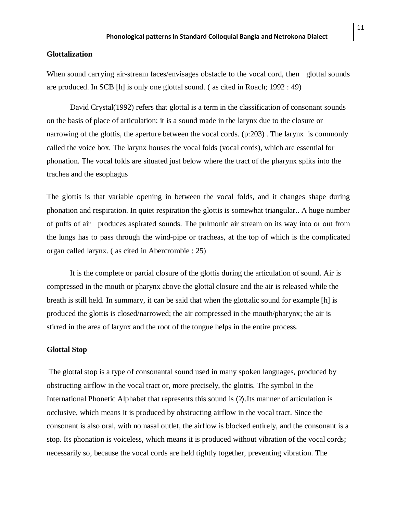## **Glottalization**

When sound carrying air-stream faces/envisages obstacle to the vocal cord, then glottal sounds are produced. In SCB [h] is only one glottal sound. ( as cited in Roach; 1992 : 49)

David Crystal(1992) refers that glottal is a term in the classification of consonant sounds on the basis of place of articulation: it is a sound made in the larynx due to the closure or narrowing of the glottis, the aperture between the vocal cords. (p:203) . The larynx is commonly called the voice box. The larynx houses the [vocal folds](http://en.wikipedia.org/wiki/Vocal_folds) (vocal cords), which are essential for [phonation.](http://en.wikipedia.org/wiki/Phonation) The vocal folds are situated just below where the tract of the [pharynx](http://en.wikipedia.org/wiki/Pharynx) splits into the [trachea](http://en.wikipedia.org/wiki/Vertebrate_trachea) and the [esophagus](http://en.wikipedia.org/wiki/Esophagus)

The glottis is that variable opening in between the vocal folds, and it changes shape during phonation and respiration. In quiet respiration the glottis is somewhat triangular.. A huge number of puffs of air produces aspirated sounds. The pulmonic air stream on its way into or out from the lungs has to pass through the wind-pipe or tracheas, at the top of which is the complicated organ called larynx. ( as cited in Abercrombie : 25)

It is the complete or partial closure of the [glottis](http://en.wikipedia.org/wiki/Glottis) during the articulation of sound. Air is compressed in the mouth or pharynx above the glottal closure and the air is released while the breath is still held. In summary, it can be said that when the glottalic sound for example [h] is produced the glottis is closed/narrowed; the air compressed in the mouth/pharynx; the air is stirred in the area of larynx and the root of the tongue helps in the entire process.

## **Glottal Stop**

The glottal stop is a type of [consonantal](http://en.wikipedia.org/wiki/Consonant) sound used in many [spoken](http://en.wikipedia.org/wiki/Speech_communication) [languages,](http://en.wikipedia.org/wiki/Language) produced by obstructing airflow in the vocal tract or, more precisely, the [glottis.](http://en.wikipedia.org/wiki/Glottis) The symbol in the [International Phonetic Alphabet](http://en.wikipedia.org/wiki/International_Phonetic_Alphabet) that represents this sound is 〈ʔ〉.Its [manner of articulation](http://en.wikipedia.org/wiki/Manner_of_articulation) is [occlusive,](http://en.wikipedia.org/wiki/Occlusive) which means it is produced by obstructing airflow in the vocal tract. Since the consonant is also oral, with no [nasal outlet,](http://en.wikipedia.org/wiki/Nasal_consonant) the airflow is blocked entirely, and the consonant is a [stop.](http://en.wikipedia.org/wiki/Stop_consonant) Its [phonation](http://en.wikipedia.org/wiki/Phonation) is voiceless, which means it is produced without vibration of the vocal cords; necessarily so, because the vocal cords are held tightly together, preventing vibration. The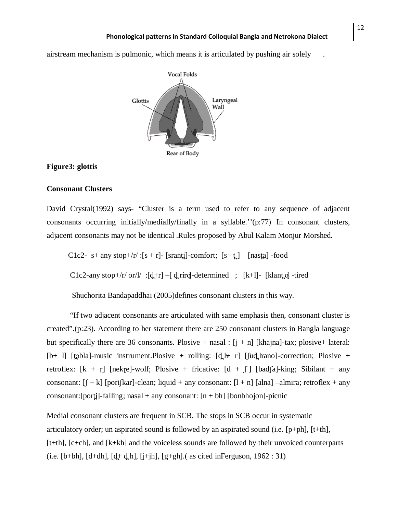[airstream mechanism](http://en.wikipedia.org/wiki/Airstream_mechanism) is [pulmonic,](http://en.wikipedia.org/wiki/Pulmonic_egressive) which means it is articulated by pushing air solely .



## **Figure3: glottis**

## **Consonant Clusters**

David Crystal(1992) says- "Cluster is a term used to refer to any sequence of adjacent consonants occurring initially/medially/finally in a syllable.''(p:77) In consonant clusters, adjacent consonants may not be identical .Rules proposed by Abul Kalam Monjur Morshed.

C1c2- s+ any stop+/r/ :[s + r]- [sranti]-comfort; [s+ t̪] [nasta] -food

C1c2-any stop+/r/ or/l/ :[d+r] –[ d\_riro]-determined ; [k+l]- [klanto] -tired

Shuchorita Bandapaddhai (2005)defines consonant clusters in this way.

"If two adjacent consonants are articulated with same emphasis then, consonant cluster is created".(p:23). According to her statement there are 250 consonant clusters in Bangla language but specifically there are 36 consonants. Plosive + nasal :  $[i + n]$  [khajna]-tax; plosive+ lateral:  $[b+ 1]$  [tobla]-music instrument. Plosive + rolling:  $[d_1 + r]$  [fud hano]-correction; Plosive + retroflex:  $[k + r]$  [nekre]-wolf; Plosive + fricative:  $[d + f]$  [badfa]-king; Sibilant + any consonant:  $[f + k]$  [porifkar]-clean; liquid + any consonant:  $[l + n]$  [alna] –almira; retroflex + any consonant: [porti]-falling; nasal + any consonant:  $[n + bh]$  [bonbhojon]-picnic

Medial consonant clusters are frequent in SCB. The stops in SCB occur in systematic articulatory order; un aspirated sound is followed by an aspirated sound (i.e. [p+ph], [t+th], [t+th], [c+ch], and [k+kh] and the voiceless sounds are followed by their unvoiced counterparts (i.e. [b+bh],  $[d+dh]$ ,  $[d+ d_h]$ , [j+jh], [g+gh].( as cited inFerguson, 1962 : 31)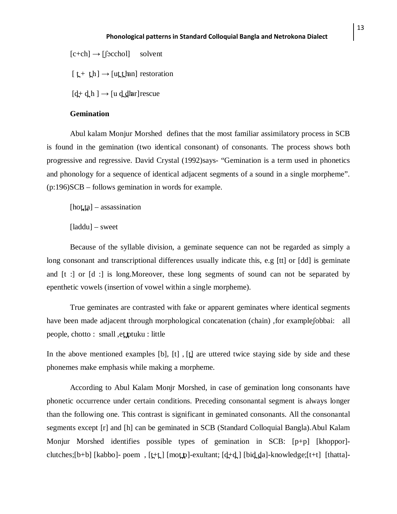$[c+ch] \rightarrow [focchol]$  solvent

 $[t + th] \rightarrow [ut_t \cdot \text{tan}]$  restoration

 $[d + d h] \rightarrow [u d_d]$  har rescue

## **Gemination**

Abul kalam Monjur Morshed defines that the most familiar assimilatory process in SCB is found in the gemination (two identical consonant) of consonants. The process shows both progressive and regressive. David Crystal (1992)says- "Gemination is a term used in phonetics and phonology for a sequence of identical adjacent segments of a sound in a single morpheme". (p:196)SCB – follows gemination in words for example.

 $[hot\_ta]$  – assassination

[laddu] – sweet

Because of the syllable division, a geminate sequence can not be regarded as simply a long consonant and transcriptional differences usually indicate this, e.g [tt] or [dd] is geminate and [t :] or [d :] is long.Moreover, these long segments of sound can not be separated by epenthetic vowels (insertion of vowel within a single morpheme).

True geminates are contrasted with fake or apparent geminates where identical segments have been made adjacent through morphological concatenation (chain) , for example fobbai: all people, chotto : small , et ptuku : little

In the above mentioned examples [b],  $[t]$ ,  $[t]$  are uttered twice staying side by side and these phonemes make emphasis while making a morpheme.

According to Abul Kalam Monjr Morshed, in case of gemination long consonants have phonetic occurrence under certain conditions. Preceding consonantal segment is always longer than the following one. This contrast is significant in geminated consonants. All the consonantal segments except [r] and [h] can be geminated in SCB (Standard Colloquial Bangla).Abul Kalam Monjur Morshed identifies possible types of gemination in SCB: [p+p] [khoppor] clutches;[b+b] [kabbo]- poem, [t+t̪] [mot̪t̪]-exultant; [d]+d̪] [bid̪d̪a]-knowledge;[t+t] [thatta]-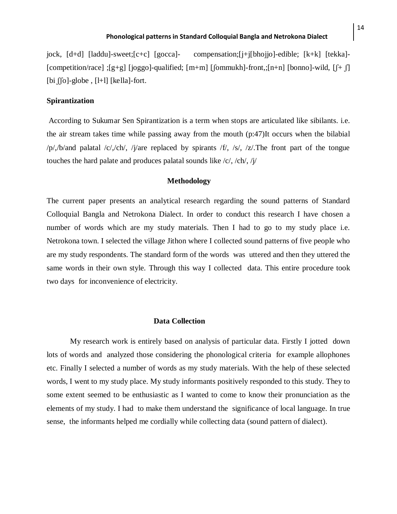jock, [d+d] [laddu]-sweet;[c+c] [gocca]- compensation;[j+j[bhojjo]-edible; [k+k] [tekka]- [competition/race] ;[g+g] [joggo]-qualified; [m+m] [ʃommukh]-front,;[n+n] [bonno]-wild, [ʃ+ ʃ] [bi  $\int$ [o]-globe, [l+l] [kella]-fort.

## **Spirantization**

According to Sukumar Sen Spirantization is a term when stops are articulated like sibilants. i.e. the air stream takes time while passing away from the mouth (p:47)It occurs when the bilabial /p/,/b/and palatal /c/,/ch/, /j/are replaced by spirants /f/, /s/, /z/.The front part of the tongue touches the hard palate and produces palatal sounds like /c/, /ch/, /j/

#### **Methodology**

The current paper presents an analytical research regarding the sound patterns of Standard Colloquial Bangla and Netrokona Dialect. In order to conduct this research I have chosen a number of words which are my study materials. Then I had to go to my study place i.e. Netrokona town. I selected the village Jithon where I collected sound patterns of five people who are my study respondents. The standard form of the words was uttered and then they uttered the same words in their own style. Through this way I collected data. This entire procedure took two days for inconvenience of electricity.

#### **Data Collection**

My research work is entirely based on analysis of particular data. Firstly I jotted down lots of words and analyzed those considering the phonological criteria for example allophones etc. Finally I selected a number of words as my study materials. With the help of these selected words, I went to my study place. My study informants positively responded to this study. They to some extent seemed to be enthusiastic as I wanted to come to know their pronunciation as the elements of my study. I had to make them understand the significance of local language. In true sense, the informants helped me cordially while collecting data (sound pattern of dialect).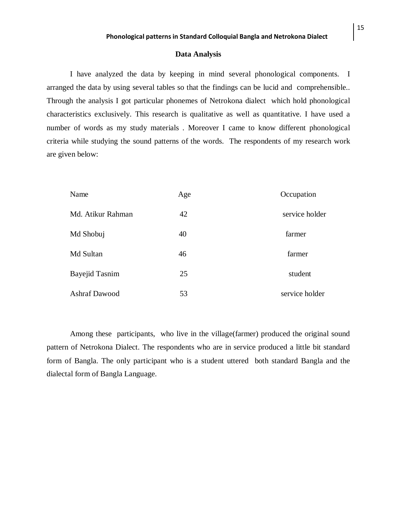#### **Data Analysis**

I have analyzed the data by keeping in mind several phonological components. I arranged the data by using several tables so that the findings can be lucid and comprehensible.. Through the analysis I got particular phonemes of Netrokona dialect which hold phonological characteristics exclusively. This research is qualitative as well as quantitative. I have used a number of words as my study materials . Moreover I came to know different phonological criteria while studying the sound patterns of the words. The respondents of my research work are given below:

| Name                  | Age | Occupation     |
|-----------------------|-----|----------------|
| Md. Atikur Rahman     | 42  | service holder |
| Md Shobuj             | 40  | farmer         |
| Md Sultan             | 46  | farmer         |
| <b>Bayejid Tasnim</b> | 25  | student        |
| <b>Ashraf Dawood</b>  | 53  | service holder |

Among these participants, who live in the village(farmer) produced the original sound pattern of Netrokona Dialect. The respondents who are in service produced a little bit standard form of Bangla. The only participant who is a student uttered both standard Bangla and the dialectal form of Bangla Language.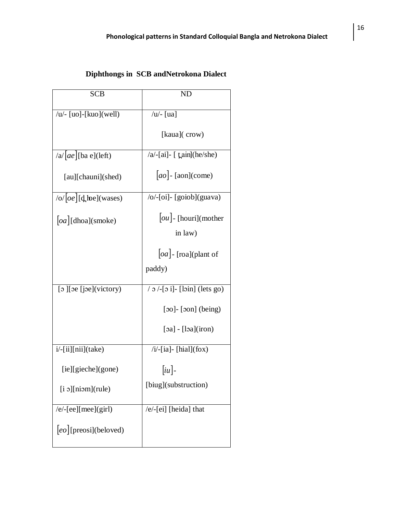# **Diphthongs in SCB andNetrokona Dialect**

| <b>SCB</b>                           | ND                                    |
|--------------------------------------|---------------------------------------|
| / $u$ /- [uo]-[kuo](well)            | / $u$ /- [ua]                         |
|                                      | [kaua](crow)                          |
| $ a $ $ ae $ [ba e](left)            | $/a$ -[ai]- [ $\text{tain}$ ](he/she) |
| [au][chauni](shed)                   | $ ao $ - [aon](come)                  |
| /o/ $ oe $ [d̪] he](wases)           | /o/-[oi]- [goiob](guava)              |
| $ oa $ [dhoa](smoke)                 | $ ou $ - [houri](mother               |
|                                      | in law)                               |
|                                      | $ oa $ - [roa](plant of               |
|                                      | paddy)                                |
| [o][oe [joe](victory)                | $/$ 0 $/$ -[0 i]- [loin] (lets go)    |
|                                      | $[30]$ - $[30n]$ (being)              |
|                                      | $[aa]$ - $[ba]$ (iron)                |
| i/-[ii][nii](take)                   | $/i$ -[ia]-[hial](fox)                |
| [ie][ <i>g</i> ieche]( <i>g</i> one) | $\lceil i\mu \rceil$ -                |
| $[i]$ [niom](rule)                   | [biug](substruction)                  |
| $/e$ -[ee][mee](girl)                | /e/-[ei] [heida] that                 |
| eo [[preosi](beloved)                |                                       |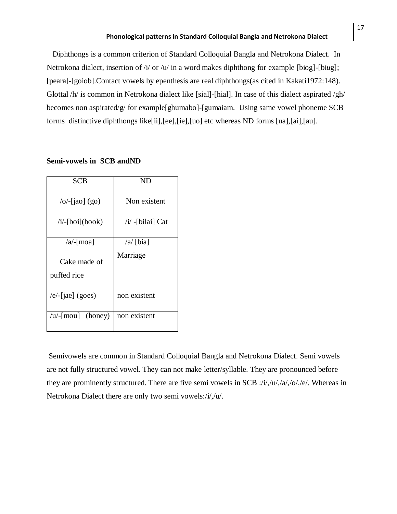Diphthongs is a common criterion of Standard Colloquial Bangla and Netrokona Dialect. In Netrokona dialect, insertion of /i/ or /u/ in a word makes diphthong for example [biog]-[bi*u*g]; [peara]-[goiob].Contact vowels by epenthesis are real diphthongs(as cited in Kakati1972:148). Glottal /h/ is common in Netrokona dialect like [sial]-[hial]. In case of this dialect aspirated /gh/ becomes non aspirated/g/ for example[ghumabo]-[gumaiam. Using same vowel phoneme SCB forms distinctive diphthongs like[ii],[ee],[ie],[uo] etc whereas ND forms [ua],[ai],[au].

#### **Semi-vowels in SCB andND**

| SCB                         | ND                |
|-----------------------------|-------------------|
| $\overline{O}$ -[jao] (go)  | Non existent      |
| $/i$ -[boi](book)           | $/i$ -[bilai] Cat |
| $\alpha$ -[moa]             | $\alpha$ [bia]    |
| Cake made of<br>puffed rice | Marriage          |
| $/e$ -[jae] (goes)          | non existent      |
| $/u$ [mou] (honey)          | non existent      |

Semivowels are common in Standard Colloquial Bangla and Netrokona Dialect. Semi vowels are not fully structured vowel. They can not make letter/syllable. They are pronounced before they are prominently structured. There are five semi vowels in SCB :/ $i/$ , $\frac{1}{a}$ , $\frac{1}{a}$ , $\frac{1}{a}$ , $\frac{1}{b}$ ,  $\frac{1}{c}$ . Whereas in Netrokona Dialect there are only two semi vowels:/i/,/u/.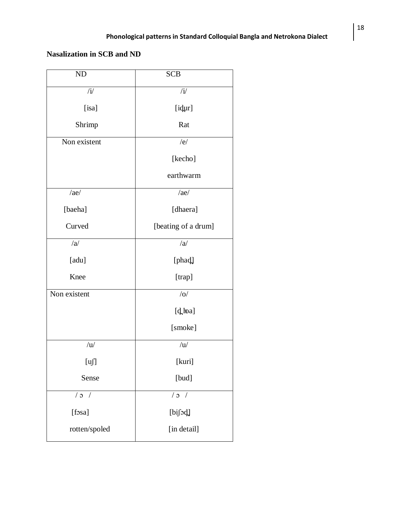# **Nasalization in SCB and ND**

| ND             | <b>SCB</b>          |  |
|----------------|---------------------|--|
| $/\mathrm{i}/$ | $\mathbf{i}$        |  |
| [isa]          | [idur]              |  |
| Shrimp         | Rat                 |  |
| Non existent   | /e/                 |  |
|                | [kecho]             |  |
|                | earthwarm           |  |
| /ae/           | /ae/                |  |
| [baeha]        | [dhaera]            |  |
| Curved         | [beating of a drum] |  |
| /a             | /a                  |  |
| [adu]          | [phad]              |  |
| Knee           | [trap]              |  |
| Non existent   | /O/                 |  |
|                | [d loa]             |  |
|                | [smoke]             |  |
| /u/            | /u/                 |  |
| [u]            | [kuri]              |  |
| Sense          | [bud]               |  |
| $/$ 0 $/$      | /2                  |  |
| [fosa]         | [bifod]             |  |
| rotten/spoled  | [in detail]         |  |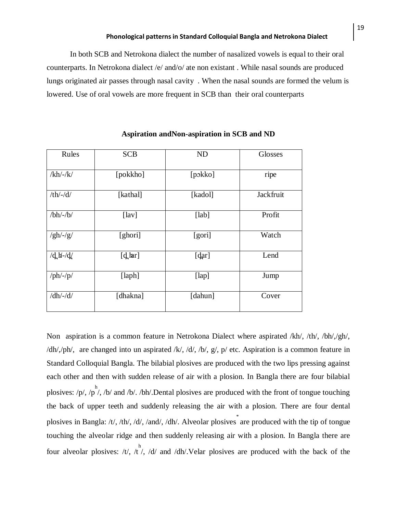In both SCB and Netrokona dialect the number of nasalized vowels is equal to their oral counterparts. In Netrokona dialect /e/ and/o/ ate non existant . While nasal sounds are produced lungs originated air passes through nasal cavity . When the nasal sounds are formed the velum is lowered. Use of oral vowels are more frequent in SCB than their oral counterparts

| Rules                      | <b>SCB</b>       | ND      | Glosses   |
|----------------------------|------------------|---------|-----------|
| $/kh$ /-/k/                | [pokkho]         | [pokko] | ripe      |
| $-th$ /-/ $d$ /            | [kathal]         | [kadol] | Jackfruit |
| $/bh$ /-/ $b$ /            | [ <i>law</i> ]   | [lab]   | Profit    |
| $/gh$ /-/g/                | [ghori]          | [gori]  | Watch     |
| $/dH -/d$                  | $[d_\text{par}]$ | [dar]   | Lend      |
| $\frac{1}{p}h\frac{-1}{p}$ | [laph]           | [lap]   | Jump      |
| $/dh$ /-/d/                | [dhakna]         | [dahun] | Cover     |

#### **Aspiration andNon-aspiration in SCB and ND**

Non aspiration is a common feature in Netrokona Dialect where aspirated /kh/, /th/, /bh/,/gh/, /dh/,/ph/, are changed into un aspirated /k/, /d/, /b/, g/, p/ etc. Aspiration is a common feature in Standard Colloquial Bangla. The bilabial plosives are produced with the two lips pressing against each other and then with sudden release of air with a plosion. In Bangla there are four bilabial plosives:  $/p/$ ,  $/p'$ ,  $/b/$  and  $/b/$ .  $/bh/$ . Dental plosives are produced with the front of tongue touching the back of upper teeth and suddenly releasing the air with a plosion. There are four dental plosives in Bangla: /t/, /th/, /d/, /and/, /dh/. Alveolar plosives are produced with the tip of tongue touching the alveolar ridge and then suddenly releasing air with a plosion. In Bangla there are four alveolar plosives: /t/, /t<sup>h</sup>/, /d/ and /dh/.Velar plosives are produced with the back of the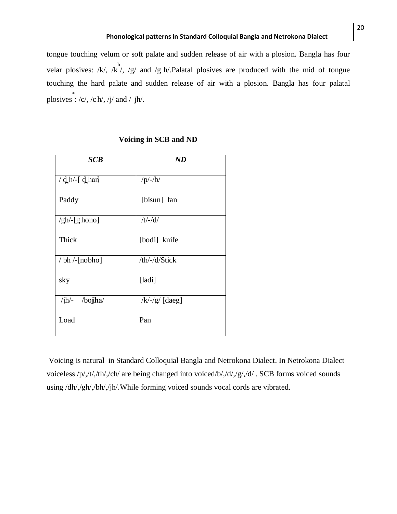tongue touching velum or soft palate and sudden release of air with a plosion. Bangla has four velar plosives: /k/, /k<sup>h</sup>/, /g/ and /g h/.Palatal plosives are produced with the mid of tongue touching the hard palate and sudden release of air with a plosion. Bangla has four palatal plosives  $\dot{c}$  : /c/, /c h/, /j/ and / jh/.

| <b>SCB</b>                          | ND                   |
|-------------------------------------|----------------------|
| $\frac{d}{d}$ h $\frac{1}{d}$ d han | $/p/-/b/$            |
| Paddy                               | [bisun] fan          |
| $\frac{g h}{g}$ [g hono]            | $/t$ /-/d/           |
| Thick                               | [bodi] knife         |
| $/bh$ /-[nobho]                     | /th/-/d/Stick        |
| sky                                 | [ladi]               |
| $/ih$ - /bojha/                     | $\frac{1}{x}$ [daeg] |
| Load                                | Pan                  |

## **Voicing in SCB and ND**

Voicing is natural in Standard Colloquial Bangla and Netrokona Dialect. In Netrokona Dialect voiceless /p/,/t/,/th/,/ch/ are being changed into voiced/b/,/d/,/g/,/d/ . SCB forms voiced sounds using /dh/,/gh/,/bh/,/jh/.While forming voiced sounds vocal cords are vibrated.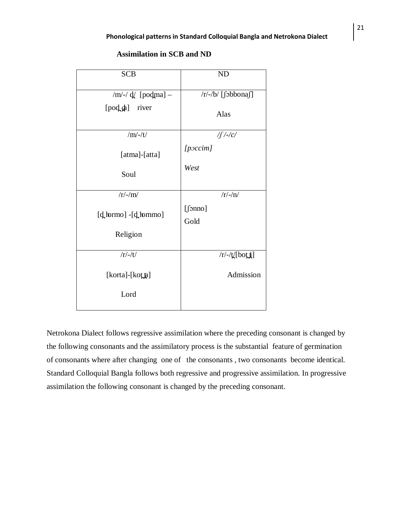| <b>SCB</b>                                          | <b>ND</b>                                               |
|-----------------------------------------------------|---------------------------------------------------------|
| /m/-/ $d/$ [podma] –<br>[pod_da] river<br>$/m/-/t/$ | $/r/-/b/$ [fobbonaf]<br>Alas<br>$\int$ /-/c/<br>[poccm] |
| [atma]-[atta]<br>Soul                               | West                                                    |
| $/r/-/m/$                                           | $/r/-/n/$                                               |
| $[d_{\rm{n}}] - [d_{\rm{n}}]$ [definition]          | [5nno]<br>Gold                                          |
| Religion                                            |                                                         |
| $/r/-/t/$                                           | $/r$ / $t$ [bot <b>i</b> ]                              |
| [korta]-[kotta]                                     | Admission                                               |
| Lord                                                |                                                         |

## **Assimilation in SCB and ND**

Netrokona Dialect follows regressive assimilation where the preceding consonant is changed by the following consonants and the assimilatory process is the substantial feature of germination of consonants where after changing one of the consonants , two consonants become identical. Standard Colloquial Bangla follows both regressive and progressive assimilation. In progressive assimilation the following consonant is changed by the preceding consonant.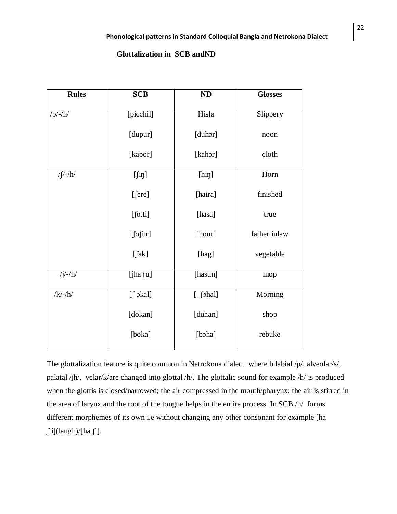## **Glottalization in SCB andND**

| <b>Rules</b>      | <b>SCB</b>             | ND                                                                                                                                                                                                                                                                                                  | <b>Glosses</b> |
|-------------------|------------------------|-----------------------------------------------------------------------------------------------------------------------------------------------------------------------------------------------------------------------------------------------------------------------------------------------------|----------------|
| $/p/-/h/$         | [picchil]              | Hisla                                                                                                                                                                                                                                                                                               | Slippery       |
|                   | [dupur]                | [duhor]                                                                                                                                                                                                                                                                                             | noon           |
|                   | [kapor]                | [kahor]                                                                                                                                                                                                                                                                                             | cloth          |
| $\int \int$ /-/h/ | $[\int$ iŋ]            | [hip]                                                                                                                                                                                                                                                                                               | Horn           |
|                   | [fere]                 | [haira]                                                                                                                                                                                                                                                                                             | finished       |
|                   | [fotti]                | [hasa]                                                                                                                                                                                                                                                                                              | true           |
|                   | $[$ fofur]             | [hour]                                                                                                                                                                                                                                                                                              | father inlaw   |
|                   | $[\intak]$             | [hag]                                                                                                                                                                                                                                                                                               | vegetable      |
| $/j/-/h/$         | [jha [u]               | [hasun]                                                                                                                                                                                                                                                                                             | mop            |
| $/k/-/h/$         | $[f \circ \text{kal}]$ | $[$ $[$ $]$ $[$ $]$ $[$ $]$ $[$ $]$ $[$ $]$ $[$ $]$ $[$ $]$ $[$ $]$ $[$ $]$ $[$ $]$ $[$ $]$ $[$ $]$ $[$ $]$ $[$ $]$ $[$ $]$ $[$ $]$ $[$ $]$ $[$ $]$ $[$ $]$ $[$ $]$ $[$ $]$ $[$ $]$ $[$ $]$ $[$ $]$ $[$ $]$ $[$ $]$ $[$ $]$ $[$ $]$ $[$ $]$ $[$ $]$ $[$ $]$ $[$ $]$ $[$ $]$ $[$ $]$ $[$ $]$ $[$ $]$ | Morning        |
|                   | [dokan]                | [duhan]                                                                                                                                                                                                                                                                                             | shop           |
|                   | [boka]                 | [boha]                                                                                                                                                                                                                                                                                              | rebuke         |

The glottalization feature is quite common in Netrokona dialect where bilabial /p/, alveolar/s/, palatal /jh/, velar/k/are changed into glottal /h/. The glottalic sound for example /h/ is produced when the glottis is closed/narrowed; the air compressed in the mouth/pharynx; the air is stirred in the area of larynx and the root of the tongue helps in the entire process. In SCB /h/ forms different morphemes of its own i.e without changing any other consonant for example [ha  $\int$ i](laugh)/[ha $\int$ ].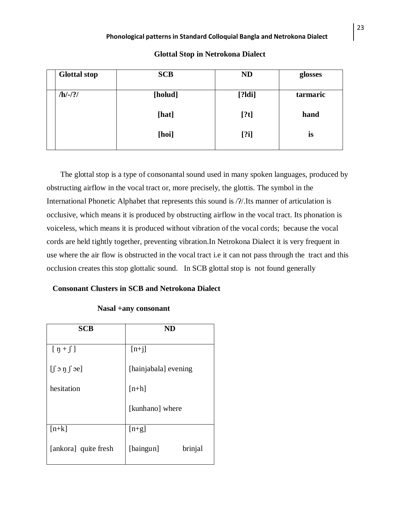| <b>Glottal stop</b> | <b>SCB</b> | <b>ND</b> | glosses  |
|---------------------|------------|-----------|----------|
| $/h/-/?/$           | [holud]    | [?Idi]    | tarmaric |
|                     | [hat]      | [?t]      | hand     |
|                     | [hoi]      | [?i]      | is       |

 The glottal stop is a type of [consonantal](http://en.wikipedia.org/wiki/Consonant) sound used in many [spoken](http://en.wikipedia.org/wiki/Speech_communication) [languages,](http://en.wikipedia.org/wiki/Language) produced by obstructing airflow in the vocal tract or, more precisely, the [glottis.](http://en.wikipedia.org/wiki/Glottis) The symbol in the [International Phonetic Alphabet](http://en.wikipedia.org/wiki/International_Phonetic_Alphabet) that represents this sound is / $\frac{2}{15}$ . Its [manner of articulation](http://en.wikipedia.org/wiki/Manner_of_articulation) is [occlusive,](http://en.wikipedia.org/wiki/Occlusive) which means it is produced by obstructing airflow in the vocal tract. Its [phonation](http://en.wikipedia.org/wiki/Phonation) is voiceless, which means it is produced without vibration of the vocal cords; because the vocal cords are held tightly together, preventing vibration.In Netrokona Dialect it is very frequent in use where the air flow is obstructed in the vocal tract i.e it can not pass through the tract and this occlusion creates this stop glottalic sound. In SCB glottal stop is not found generally

## **Consonant Clusters in SCB and Netrokona Dialect**

# **SCB ND**  $[p + \int]$  $[\int$   $\infty$  n  $\int$   $\infty$ ] hesitation  $[n+j]$ [hainjabala] evening  $[n+h]$ [kunhano] where  $[n+k]$ [ankora] quite fresh  $[n+g]$ [baingun] brinjal

## **Nasal +any consonant**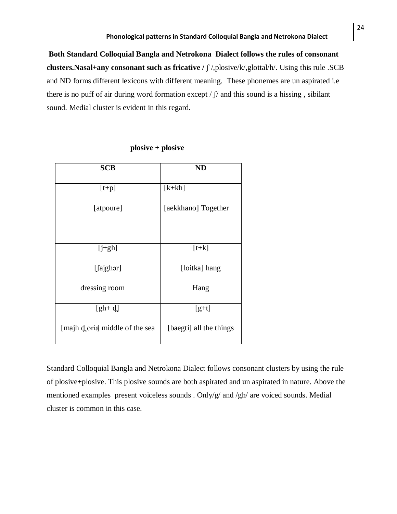**Both Standard Colloquial Bangla and Netrokona Dialect follows the rules of consonant clusters.Nasal+any consonant such as fricative /** ʃ /,plosive/k/,glottal/h/. Using this rule .SCB and ND forms different lexicons with different meaning. These phonemes are un aspirated i.e there is no puff of air during word formation except  $/\int$  and this sound is a hissing, sibilant sound. Medial cluster is evident in this regard.

| <b>SCB</b>                     | <b>ND</b>               |
|--------------------------------|-------------------------|
| $[t+p]$                        | $[k+kh]$                |
| [atpoure]                      | [aekkhano] Together     |
| $[i+gh]$                       | $[t+k]$                 |
| [fajghor]                      | [loitka] hang           |
| dressing room                  | Hang                    |
| $[gh+ d]$                      | $[g+ t]$                |
| [majh doria] middle of the sea | [baegti] all the things |

 **plosive + plosive** 

Standard Colloquial Bangla and Netrokona Dialect follows consonant clusters by using the rule of plosive+plosive. This plosive sounds are both aspirated and un aspirated in nature. Above the mentioned examples present voiceless sounds . Only/g/ and /gh/ are voiced sounds. Medial cluster is common in this case.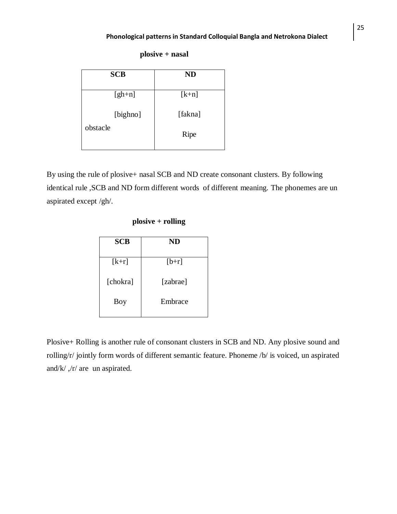**plosive + nasal**

| <b>ND</b> |
|-----------|
| $[k+n]$   |
| [fakna]   |
| Ripe      |
|           |

By using the rule of plosive+ nasal SCB and ND create consonant clusters. By following identical rule ,SCB and ND form different words of different meaning. The phonemes are un aspirated except /gh/.

## **plosive + rolling**

| <b>SCB</b> | ND       |  |  |  |  |
|------------|----------|--|--|--|--|
| $[k+r]$    | $[b+r]$  |  |  |  |  |
| [chokra]   | [zabrae] |  |  |  |  |
| Boy        | Embrace  |  |  |  |  |
|            |          |  |  |  |  |

Plosive+ Rolling is another rule of consonant clusters in SCB and ND. Any plosive sound and rolling/r/ jointly form words of different semantic feature. Phoneme /b/ is voiced, un aspirated and/k/ ,/r/ are un aspirated.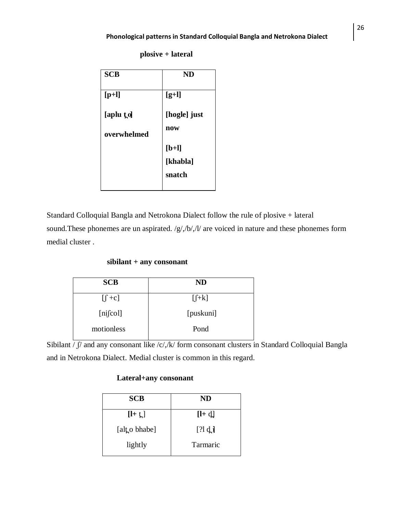| <b>SCB</b>  | ND           |
|-------------|--------------|
|             |              |
| $[p+1]$     | $[g+1]$      |
|             |              |
| [aplu to]   | [hogle] just |
|             | now          |
| overwhelmed |              |
|             | $[b+1]$      |
|             | [khabla]     |
|             | snatch       |
|             |              |

**plosive + lateral** 

Standard Colloquial Bangla and Netrokona Dialect follow the rule of plosive + lateral sound. These phonemes are un aspirated. /g/,/b/,/l/ are voiced in nature and these phonemes form medial cluster .

## **sibilant + any consonant**

| <b>SCB</b> | <b>ND</b> |
|------------|-----------|
| $[f + c]$  | $[f+k]$   |
| [nifcol]   | [puskuni] |
| motionless | Pond      |

Sibilant  $\sqrt{\int f}$  and any consonant like /c/,/k/ form consonant clusters in Standard Colloquial Bangla and in Netrokona Dialect. Medial cluster is common in this regard.

## **Lateral+any consonant**

| <b>SCB</b>   | <b>ND</b> |
|--------------|-----------|
| $[I + t]$    | $[1 + d]$ |
| [alto bhabe] | [?l d]    |
| lightly      | Tarmaric  |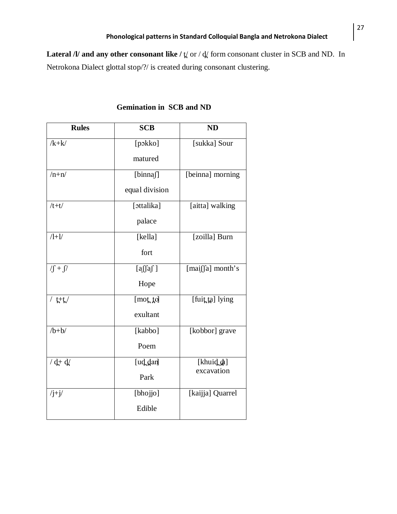Lateral /l/ and any other consonant like /  $\sharp$  or /  $\sharp$  form consonant cluster in SCB and ND. In Netrokona Dialect glottal stop/?/ is created during consonant clustering.

| <b>Rules</b>          | <b>SCB</b>     | <b>ND</b>                |
|-----------------------|----------------|--------------------------|
| $/k+k/$               | [pɔkko]        | [sukka] Sour             |
|                       | matured        |                          |
| $/n+n/$               | [binnaf]       | [beinna] morning         |
|                       | equal division |                          |
| $/t+t/$               | [ottalika]     | [aitta] walking          |
|                       | palace         |                          |
| $/l+1/$               | [kella]        | [zoilla] Burn            |
|                       | fort           |                          |
| $\sqrt{\int +\int /}$ | [a][a]         | [maif[fa] month's        |
|                       | Hope           |                          |
| / t+t/                | [mot, to]      | [fuit ta] lying          |
|                       | exultant       |                          |
| $/b+b/$               | [kabbo]        | [kobbor] grave           |
|                       | Poem           |                          |
| $/ d + d/$            | [ud dan]       | [khuid da]<br>excavation |
|                       | Park           |                          |
| $/j+j/$               | [bhojjo]       | [kaijja] Quarrel         |
|                       | Edible         |                          |

# **Gemination in SCB and ND**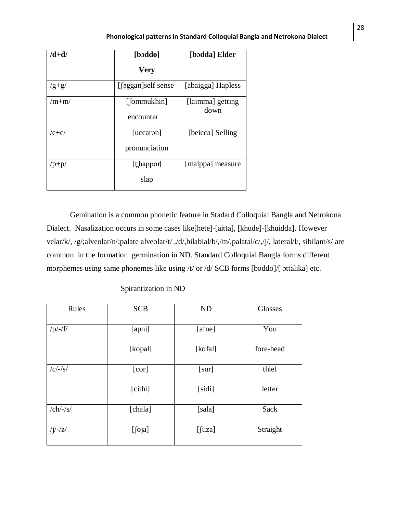| $/d+d/$                 | [bəddo]            | [bodda] Elder            |
|-------------------------|--------------------|--------------------------|
|                         | <b>Very</b>        |                          |
| $\frac{g+g}{g}$         | [[oggan]self sense | [abaigga] Hapless        |
| $/m+m/$                 | [fommukhin]        | [laimma] getting<br>down |
|                         | encounter          |                          |
| $/c + c/$               | [uccaron]          | [beicca] Selling         |
|                         | pronunciation      |                          |
| $\mathsf{p}+\mathsf{p}$ | [thappor]          | [maippa] measure         |
|                         | slap               |                          |

Gemination is a common phonetic feature in Stadard Colloquial Bangla and Netrokona Dialect. Nasalization occurs in some cases like[hete]-[aitta], [khude]-[khuidda]. However velar/k/, /g/;alveolar/n/;palate alveolar/t/ ,/d/,bilabial/b/,/m/,palatal/c/,/j/, lateral/l/, sibilant/s/ are common in the formation germination in ND. Standard Colloquial Bangla forms different morphemes using same phonemes like using /t/ or /d/ SCB forms [boddo]/[ ɔttalika] etc.

| Rules       | <b>SCB</b> | <b>ND</b> | Glosses   |
|-------------|------------|-----------|-----------|
| $/p/-/f/$   | [apni]     | [afne]    | You       |
|             | [kopal]    | [kofal]   | fore-head |
| $/c/-/s/$   | [cor]      | [sur]     | thief     |
|             | [cithi]    | [sidi]    | letter    |
| $/ch$ /-/s/ | [chala]    | [sala]    | Sack      |
| $/j/-/z/$   | [foja]     | $[$ fuza] | Straight  |

Spirantization in ND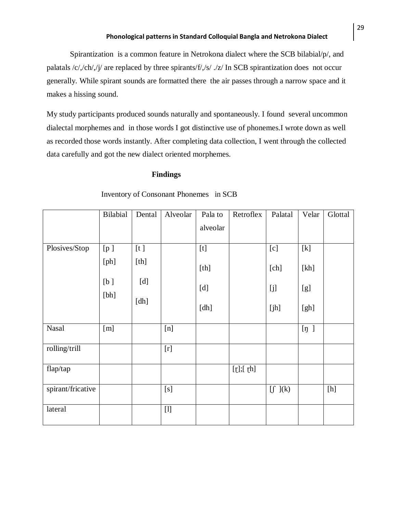Spirantization is a common feature in Netrokona dialect where the SCB bilabial/p/, and palatals /c/,/ch/,/j/ are replaced by three spirants/f/,/s/ ./z/ In SCB spirantization does not occur generally. While spirant sounds are formatted there the air passes through a narrow space and it makes a hissing sound.

My study participants produced sounds naturally and spontaneously. I found several uncommon dialectal morphemes and in those words I got distinctive use of phonemes.I wrote down as well as recorded those words instantly. After completing data collection, I went through the collected data carefully and got the new dialect oriented morphemes.

## **Findings**

|                   | <b>Bilabial</b> | Dental | Alveolar                                                                                                                                                                                                                                                                                          | Pala to  | Retroflex | Palatal                      | Velar    | Glottal |
|-------------------|-----------------|--------|---------------------------------------------------------------------------------------------------------------------------------------------------------------------------------------------------------------------------------------------------------------------------------------------------|----------|-----------|------------------------------|----------|---------|
|                   |                 |        |                                                                                                                                                                                                                                                                                                   | alveolar |           |                              |          |         |
| Plosives/Stop     | [p]             | [t]    |                                                                                                                                                                                                                                                                                                   | $[t]$    |           | [c]                          | $[k]$    |         |
|                   | [ph]            | [th]   |                                                                                                                                                                                                                                                                                                   | [th]     |           | [ch]                         | [kh]     |         |
|                   | [b]<br>[bh]     | [d]    |                                                                                                                                                                                                                                                                                                   | [d]      |           | [j]                          | [g]      |         |
|                   |                 | [dh]   |                                                                                                                                                                                                                                                                                                   | [dh]     |           | [jh]                         | [gh]     |         |
| <b>Nasal</b>      | [m]             |        | [n]                                                                                                                                                                                                                                                                                               |          |           |                              | $[\eta]$ |         |
| rolling/trill     |                 |        | $[r]$                                                                                                                                                                                                                                                                                             |          |           |                              |          |         |
| flap/tap          |                 |        |                                                                                                                                                                                                                                                                                                   |          | [t]; [th] |                              |          |         |
| spirant/fricative |                 |        | [s]                                                                                                                                                                                                                                                                                               |          |           | $\left[\int\right]({\bf k})$ |          | [h]     |
| lateral           |                 |        | $[1] % \begin{center} % \includegraphics[width=\linewidth]{imagesSupplemental_3.png} % \end{center} % \caption { % Our method is used for the method. % The method is used for the method. % The method is used for the method. % The method is used for the method. % } % \label{fig:example} %$ |          |           |                              |          |         |

Inventory of Consonant Phonemes in SCB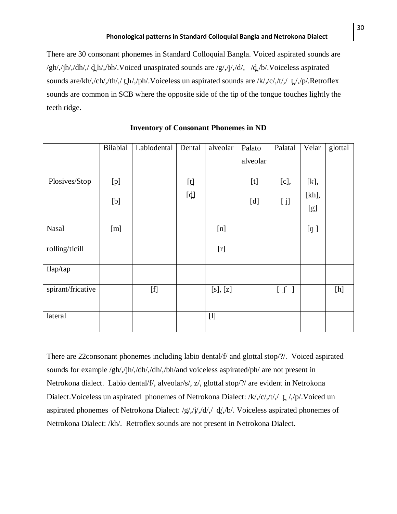There are 30 consonant phonemes in Standard Colloquial Bangla. Voiced aspirated sounds are  $/\text{gh}/\text{jh}/\text{dh}/\text{gh}/\text{bh}/\text{Voiced unaspirated sounds are }/\text{g}/\text{h}/\text{dh}/\text{h}/\text{Voiceless aspirated}$ sounds are/kh/,/ch/,/th/,/th/,/ph/.Voiceless un aspirated sounds are /k/,/c/,/t/,/t/,/p/.Retroflex sounds are common in SCB where the opposite side of the tip of the tongue touches lightly the teeth ridge.

|                   | Bilabial | Labiodental                                                                                                                                                                                                                                                                                                                                                                                                                                                                                                                                                                                                                        | Dental | alveolar                                                                                                                                                                                                                                                                                             | Palato   | Palatal | Velar    | glottal |
|-------------------|----------|------------------------------------------------------------------------------------------------------------------------------------------------------------------------------------------------------------------------------------------------------------------------------------------------------------------------------------------------------------------------------------------------------------------------------------------------------------------------------------------------------------------------------------------------------------------------------------------------------------------------------------|--------|------------------------------------------------------------------------------------------------------------------------------------------------------------------------------------------------------------------------------------------------------------------------------------------------------|----------|---------|----------|---------|
|                   |          |                                                                                                                                                                                                                                                                                                                                                                                                                                                                                                                                                                                                                                    |        |                                                                                                                                                                                                                                                                                                      | alveolar |         |          |         |
| Plosives/Stop     |          |                                                                                                                                                                                                                                                                                                                                                                                                                                                                                                                                                                                                                                    |        |                                                                                                                                                                                                                                                                                                      |          |         |          |         |
|                   | [p]      |                                                                                                                                                                                                                                                                                                                                                                                                                                                                                                                                                                                                                                    | [t]    |                                                                                                                                                                                                                                                                                                      |          | [c],    | [k],     |         |
|                   |          |                                                                                                                                                                                                                                                                                                                                                                                                                                                                                                                                                                                                                                    | [d]    |                                                                                                                                                                                                                                                                                                      | [d]      |         | $[kh]$ , |         |
|                   | [b]      |                                                                                                                                                                                                                                                                                                                                                                                                                                                                                                                                                                                                                                    |        |                                                                                                                                                                                                                                                                                                      |          | [j]     | [g]      |         |
|                   |          |                                                                                                                                                                                                                                                                                                                                                                                                                                                                                                                                                                                                                                    |        |                                                                                                                                                                                                                                                                                                      |          |         |          |         |
| <b>Nasal</b>      | [m]      |                                                                                                                                                                                                                                                                                                                                                                                                                                                                                                                                                                                                                                    |        | [n]                                                                                                                                                                                                                                                                                                  |          |         | [n]      |         |
|                   |          |                                                                                                                                                                                                                                                                                                                                                                                                                                                                                                                                                                                                                                    |        |                                                                                                                                                                                                                                                                                                      |          |         |          |         |
| rolling/ticill    |          |                                                                                                                                                                                                                                                                                                                                                                                                                                                                                                                                                                                                                                    |        | $[r] \centering% \includegraphics[width=1.0\textwidth]{Figures/PN1.png} \caption{The 3D (black) model for the 3D (black) model. The 3D (black) model is shown in the left panel. The 3D (black) model is shown in the right panel. The 3D (black) model is shown in the right panel.} \label{fig:1}$ |          |         |          |         |
| flap/tap          |          |                                                                                                                                                                                                                                                                                                                                                                                                                                                                                                                                                                                                                                    |        |                                                                                                                                                                                                                                                                                                      |          |         |          |         |
|                   |          |                                                                                                                                                                                                                                                                                                                                                                                                                                                                                                                                                                                                                                    |        |                                                                                                                                                                                                                                                                                                      |          |         |          |         |
| spirant/fricative |          | $[f] % \begin{center} % \includegraphics[width=\linewidth]{imagesSupplemental_3.png} % \end{center} % \caption { % Our method can be used for the use of the image. % Note that the \emph{DefNet} and the \emph{DefNet} is used for the \emph{DefNet} and the \emph{DefNet} is used for the \emph{DefNet} and the \emph{DefNet} is used for the \emph{DefNet} and the \emph{DefNet} is used for the \emph{DefNet} and the \emph{DefNet} is used for the \emph{DefNet} and the \emph{DefNet} is used for the \emph{DefNet} and the \emph{DefNet} is used for the \emph{DefNet} and the \emph{DefNet} is used for the \emph{DefNet}$ |        | [s], [z]                                                                                                                                                                                                                                                                                             |          | $[\int$ |          | [h]     |
|                   |          |                                                                                                                                                                                                                                                                                                                                                                                                                                                                                                                                                                                                                                    |        |                                                                                                                                                                                                                                                                                                      |          |         |          |         |
| lateral           |          |                                                                                                                                                                                                                                                                                                                                                                                                                                                                                                                                                                                                                                    |        | $[1]$                                                                                                                                                                                                                                                                                                |          |         |          |         |
|                   |          |                                                                                                                                                                                                                                                                                                                                                                                                                                                                                                                                                                                                                                    |        |                                                                                                                                                                                                                                                                                                      |          |         |          |         |

#### **Inventory of Consonant Phonemes in ND**

There are 22consonant phonemes including labio dental/f/ and glottal stop/?/. Voiced aspirated sounds for example /gh/,/jh/,/dh/,/dh/,/bh/and voiceless aspirated/ph/ are not present in Netrokona dialect. Labio dental/f/, alveolar/s/, z/, glottal stop/?/ are evident in Netrokona Dialect. Voiceless un aspirated phonemes of Netrokona Dialect: /k/,/c/,/t/,/ t /,/p/. Voiced un aspirated phonemes of Netrokona Dialect:  $/g//(d//d)/d/$ ,  $/d/$ , Voiceless aspirated phonemes of Netrokona Dialect: /kh/. Retroflex sounds are not present in Netrokona Dialect.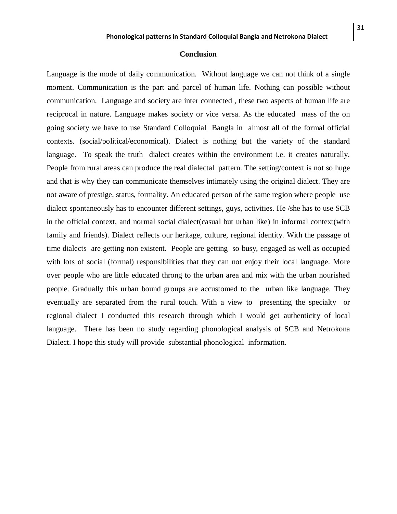#### **Conclusion**

Language is the mode of daily communication. Without language we can not think of a single moment. Communication is the part and parcel of human life. Nothing can possible without communication. Language and society are inter connected , these two aspects of human life are reciprocal in nature. Language makes society or vice versa. As the educated mass of the on going society we have to use Standard Colloquial Bangla in almost all of the formal official contexts. (social/political/economical). Dialect is nothing but the variety of the standard language. To speak the truth dialect creates within the environment i.e. it creates naturally. People from rural areas can produce the real dialectal pattern. The setting/context is not so huge and that is why they can communicate themselves intimately using the original dialect. They are not aware of prestige, status, formality. An educated person of the same region where people use dialect spontaneously has to encounter different settings, guys, activities. He /she has to use SCB in the official context, and normal social dialect(casual but urban like) in informal context(with family and friends). Dialect reflects our heritage, culture, regional identity. With the passage of time dialects are getting non existent. People are getting so busy, engaged as well as occupied with lots of social (formal) responsibilities that they can not enjoy their local language. More over people who are little educated throng to the urban area and mix with the urban nourished people. Gradually this urban bound groups are accustomed to the urban like language. They eventually are separated from the rural touch. With a view to presenting the specialty or regional dialect I conducted this research through which I would get authenticity of local language. There has been no study regarding phonological analysis of SCB and Netrokona Dialect. I hope this study will provide substantial phonological information.